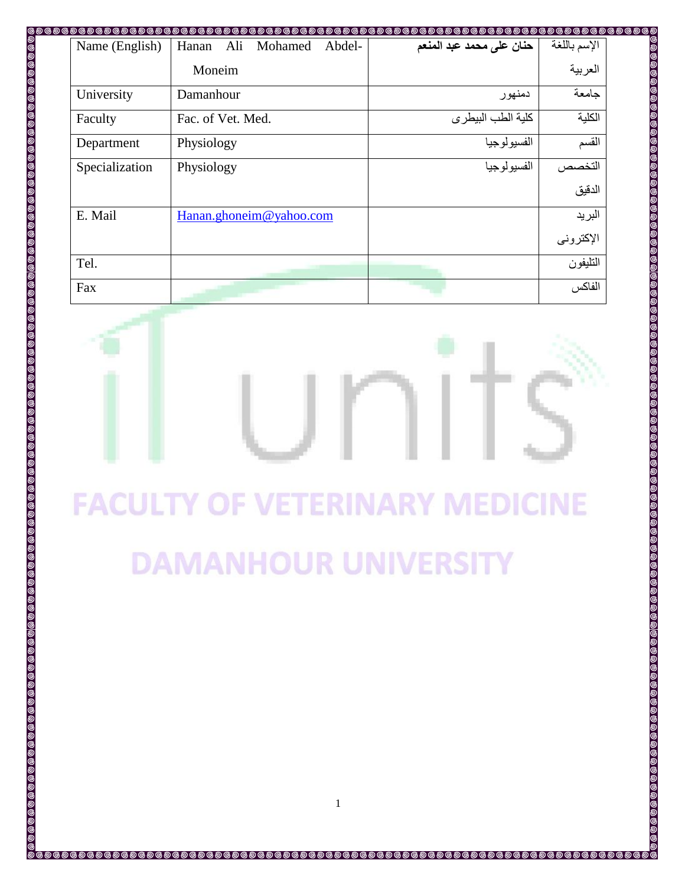| Moneim<br>University<br>Damanhour<br>Faculty<br>Fac. of Vet. Med.<br>Physiology<br>Department<br>Specialization<br>Physiology<br>E. Mail<br>Hanan.ghoneim@yahoo.com<br>Tel.<br>Fax<br><b>FACULTY OF VETERINARY MEDICINE</b><br><b>DAMANHOUR UNIVERSITY</b> | Name (English) | ๛ <i>๛๛๛๛๛๛๛๛</i><br>Ali<br>Mohamed<br>Hanan<br>Abdel- | حنان على محمد عبد المنعم |  |
|------------------------------------------------------------------------------------------------------------------------------------------------------------------------------------------------------------------------------------------------------------|----------------|--------------------------------------------------------|--------------------------|--|
|                                                                                                                                                                                                                                                            |                |                                                        |                          |  |
|                                                                                                                                                                                                                                                            |                |                                                        |                          |  |
|                                                                                                                                                                                                                                                            |                |                                                        |                          |  |
|                                                                                                                                                                                                                                                            |                |                                                        |                          |  |
|                                                                                                                                                                                                                                                            |                |                                                        |                          |  |
|                                                                                                                                                                                                                                                            |                |                                                        |                          |  |
|                                                                                                                                                                                                                                                            |                |                                                        |                          |  |
|                                                                                                                                                                                                                                                            |                |                                                        |                          |  |
|                                                                                                                                                                                                                                                            |                |                                                        |                          |  |
|                                                                                                                                                                                                                                                            |                |                                                        |                          |  |
|                                                                                                                                                                                                                                                            |                |                                                        |                          |  |
|                                                                                                                                                                                                                                                            |                |                                                        |                          |  |
|                                                                                                                                                                                                                                                            |                |                                                        |                          |  |
|                                                                                                                                                                                                                                                            |                |                                                        |                          |  |
|                                                                                                                                                                                                                                                            |                |                                                        |                          |  |
|                                                                                                                                                                                                                                                            |                |                                                        |                          |  |
|                                                                                                                                                                                                                                                            |                |                                                        |                          |  |
|                                                                                                                                                                                                                                                            |                |                                                        |                          |  |
| $\mathbf{1}$                                                                                                                                                                                                                                               |                |                                                        |                          |  |

i @ @ @ (

**@@@** 

## **FACULTY OF VETERINARY MEDICINE DAMANHOUR UNIVERSITY**